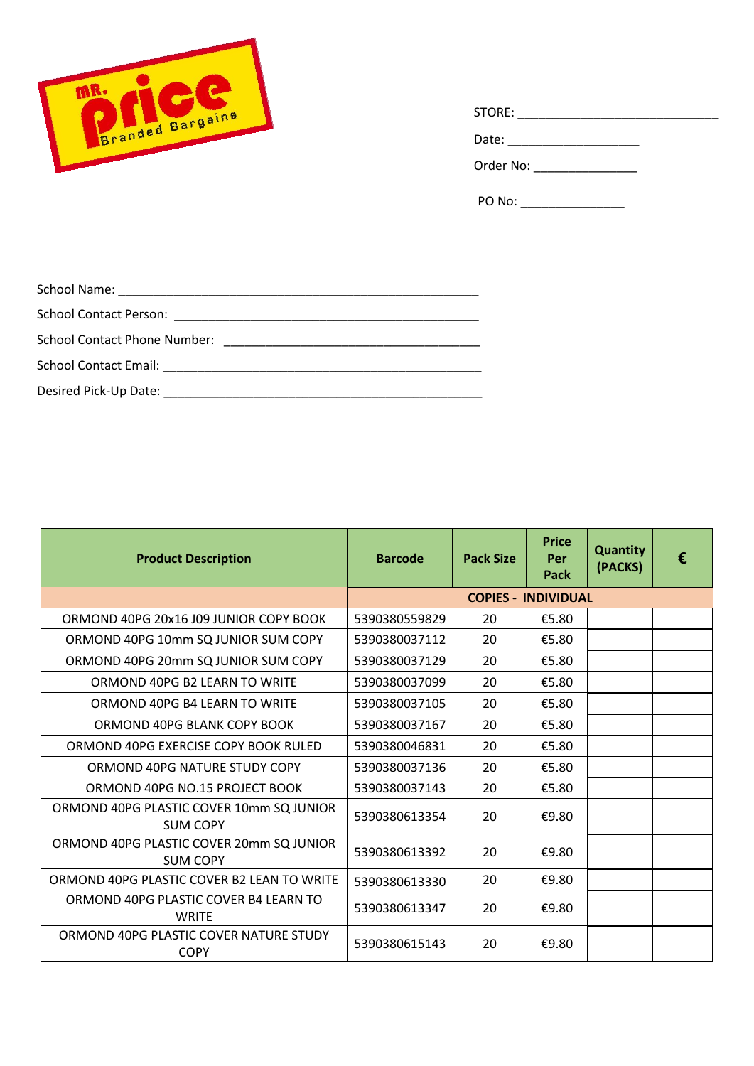

| STORE: |  |  |  |
|--------|--|--|--|
| Date:  |  |  |  |
| $\sim$ |  |  |  |

Order No: \_\_\_\_\_\_\_\_\_\_\_\_\_\_\_

PO No: \_\_\_\_\_\_\_\_\_\_\_\_\_\_\_

| <b>Product Description</b>                                  | <b>Barcode</b> | <b>Pack Size</b> | <b>Price</b><br>Per<br>Pack | <b>Quantity</b><br>(PACKS) | € |
|-------------------------------------------------------------|----------------|------------------|-----------------------------|----------------------------|---|
|                                                             |                |                  | <b>COPIES - INDIVIDUAL</b>  |                            |   |
| ORMOND 40PG 20x16 J09 JUNIOR COPY BOOK                      | 5390380559829  | 20               | €5.80                       |                            |   |
| ORMOND 40PG 10mm SQ JUNIOR SUM COPY                         | 5390380037112  | 20               | €5.80                       |                            |   |
| ORMOND 40PG 20mm SQ JUNIOR SUM COPY                         | 5390380037129  | 20               | €5.80                       |                            |   |
| ORMOND 40PG B2 LEARN TO WRITE                               | 5390380037099  | 20               | €5.80                       |                            |   |
| ORMOND 40PG B4 LEARN TO WRITE                               | 5390380037105  | 20               | €5.80                       |                            |   |
| ORMOND 40PG BLANK COPY BOOK                                 | 5390380037167  | 20               | €5.80                       |                            |   |
| ORMOND 40PG EXERCISE COPY BOOK RULED                        | 5390380046831  | 20               | €5.80                       |                            |   |
| ORMOND 40PG NATURE STUDY COPY                               | 5390380037136  | 20               | €5.80                       |                            |   |
| ORMOND 40PG NO.15 PROJECT BOOK                              | 5390380037143  | 20               | €5.80                       |                            |   |
| ORMOND 40PG PLASTIC COVER 10mm SQ JUNIOR<br><b>SUM COPY</b> | 5390380613354  | 20               | €9.80                       |                            |   |
| ORMOND 40PG PLASTIC COVER 20mm SQ JUNIOR<br><b>SUM COPY</b> | 5390380613392  | 20               | €9.80                       |                            |   |
| ORMOND 40PG PLASTIC COVER B2 LEAN TO WRITE                  | 5390380613330  | 20               | €9.80                       |                            |   |
| ORMOND 40PG PLASTIC COVER B4 LEARN TO<br><b>WRITE</b>       | 5390380613347  | 20               | €9.80                       |                            |   |
| ORMOND 40PG PLASTIC COVER NATURE STUDY<br><b>COPY</b>       | 5390380615143  | 20               | €9.80                       |                            |   |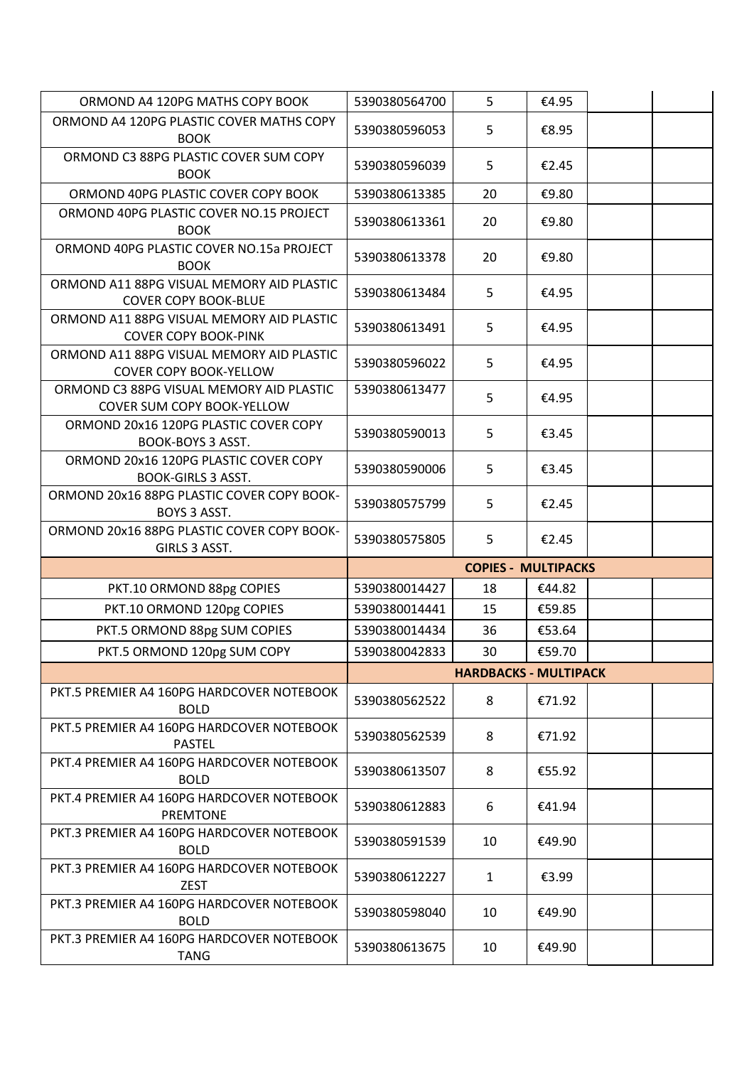| ORMOND A4 120PG MATHS COPY BOOK                                               | 5390380564700 | 5                            | €4.95  |  |
|-------------------------------------------------------------------------------|---------------|------------------------------|--------|--|
| ORMOND A4 120PG PLASTIC COVER MATHS COPY<br><b>BOOK</b>                       | 5390380596053 | 5                            | €8.95  |  |
| ORMOND C3 88PG PLASTIC COVER SUM COPY<br><b>BOOK</b>                          | 5390380596039 | 5                            | €2.45  |  |
| ORMOND 40PG PLASTIC COVER COPY BOOK                                           | 5390380613385 | 20                           | €9.80  |  |
| ORMOND 40PG PLASTIC COVER NO.15 PROJECT<br><b>BOOK</b>                        | 5390380613361 | 20                           | €9.80  |  |
| ORMOND 40PG PLASTIC COVER NO.15a PROJECT<br><b>BOOK</b>                       | 5390380613378 | 20                           | €9.80  |  |
| ORMOND A11 88PG VISUAL MEMORY AID PLASTIC<br><b>COVER COPY BOOK-BLUE</b>      | 5390380613484 | 5                            | €4.95  |  |
| ORMOND A11 88PG VISUAL MEMORY AID PLASTIC<br><b>COVER COPY BOOK-PINK</b>      | 5390380613491 | 5                            | €4.95  |  |
| ORMOND A11 88PG VISUAL MEMORY AID PLASTIC<br><b>COVER COPY BOOK-YELLOW</b>    | 5390380596022 | 5                            | €4.95  |  |
| ORMOND C3 88PG VISUAL MEMORY AID PLASTIC<br><b>COVER SUM COPY BOOK-YELLOW</b> | 5390380613477 | 5                            | €4.95  |  |
| ORMOND 20x16 120PG PLASTIC COVER COPY<br>BOOK-BOYS 3 ASST.                    | 5390380590013 | 5                            | €3.45  |  |
| ORMOND 20x16 120PG PLASTIC COVER COPY<br><b>BOOK-GIRLS 3 ASST.</b>            | 5390380590006 | 5                            | €3.45  |  |
| ORMOND 20x16 88PG PLASTIC COVER COPY BOOK-<br>BOYS 3 ASST.                    | 5390380575799 | 5                            | €2.45  |  |
|                                                                               |               |                              |        |  |
| ORMOND 20x16 88PG PLASTIC COVER COPY BOOK-<br>GIRLS 3 ASST.                   | 5390380575805 | 5                            | €2.45  |  |
|                                                                               |               | <b>COPIES - MULTIPACKS</b>   |        |  |
| PKT.10 ORMOND 88pg COPIES                                                     | 5390380014427 | 18                           | €44.82 |  |
| PKT.10 ORMOND 120pg COPIES                                                    | 5390380014441 | 15                           | €59.85 |  |
| PKT.5 ORMOND 88pg SUM COPIES                                                  | 5390380014434 | 36                           | €53.64 |  |
| PKT.5 ORMOND 120pg SUM COPY                                                   | 5390380042833 | 30                           | €59.70 |  |
|                                                                               |               | <b>HARDBACKS - MULTIPACK</b> |        |  |
| PKT.5 PREMIER A4 160PG HARDCOVER NOTEBOOK<br><b>BOLD</b>                      | 5390380562522 | 8                            | €71.92 |  |
| PKT.5 PREMIER A4 160PG HARDCOVER NOTEBOOK<br><b>PASTEL</b>                    | 5390380562539 | 8                            | €71.92 |  |
| PKT.4 PREMIER A4 160PG HARDCOVER NOTEBOOK<br><b>BOLD</b>                      | 5390380613507 | 8                            | €55.92 |  |
| PKT.4 PREMIER A4 160PG HARDCOVER NOTEBOOK<br><b>PREMTONE</b>                  | 5390380612883 | 6                            | €41.94 |  |
| PKT.3 PREMIER A4 160PG HARDCOVER NOTEBOOK<br><b>BOLD</b>                      | 5390380591539 | 10                           | €49.90 |  |
| PKT.3 PREMIER A4 160PG HARDCOVER NOTEBOOK<br><b>ZEST</b>                      | 5390380612227 | $\mathbf{1}$                 | €3.99  |  |
| PKT.3 PREMIER A4 160PG HARDCOVER NOTEBOOK<br><b>BOLD</b>                      | 5390380598040 | 10                           | €49.90 |  |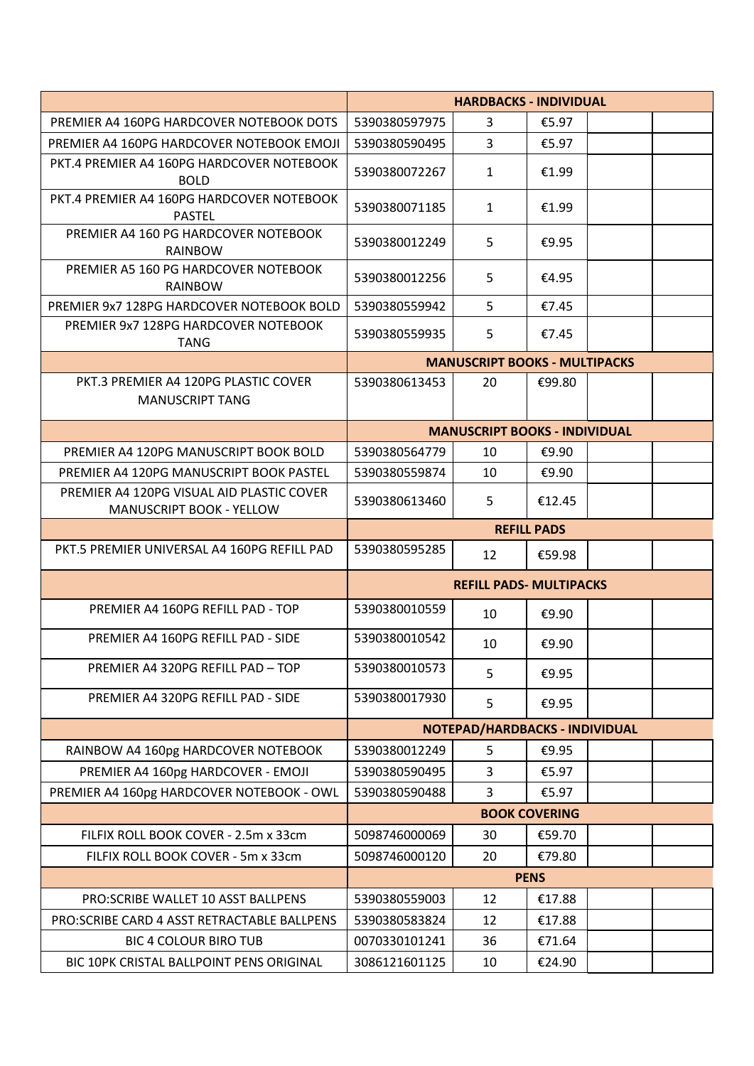|                                                                              | <b>HARDBACKS - INDIVIDUAL</b>  |                                      |        |  |  |
|------------------------------------------------------------------------------|--------------------------------|--------------------------------------|--------|--|--|
| PREMIER A4 160PG HARDCOVER NOTEBOOK DOTS                                     | 5390380597975                  | 3                                    | €5.97  |  |  |
| PREMIER A4 160PG HARDCOVER NOTEBOOK EMOJI                                    | 5390380590495                  | $\mathbf{3}$                         | €5.97  |  |  |
| PKT.4 PREMIER A4 160PG HARDCOVER NOTEBOOK<br><b>BOLD</b>                     | 5390380072267                  | $\mathbf{1}$                         | €1.99  |  |  |
| PKT.4 PREMIER A4 160PG HARDCOVER NOTEBOOK<br><b>PASTEL</b>                   | 5390380071185                  | $\mathbf{1}$                         | €1.99  |  |  |
| PREMIER A4 160 PG HARDCOVER NOTEBOOK<br><b>RAINBOW</b>                       | 5390380012249                  | 5                                    | €9.95  |  |  |
| PREMIER A5 160 PG HARDCOVER NOTEBOOK<br><b>RAINBOW</b>                       | 5390380012256                  | 5                                    | €4.95  |  |  |
| PREMIER 9x7 128PG HARDCOVER NOTEBOOK BOLD                                    | 5390380559942                  | 5                                    | €7.45  |  |  |
| PREMIER 9x7 128PG HARDCOVER NOTEBOOK<br><b>TANG</b>                          | 5390380559935                  | 5                                    | €7.45  |  |  |
|                                                                              |                                | <b>MANUSCRIPT BOOKS - MULTIPACKS</b> |        |  |  |
| PKT.3 PREMIER A4 120PG PLASTIC COVER<br><b>MANUSCRIPT TANG</b>               | 5390380613453                  | 20                                   | €99.80 |  |  |
|                                                                              |                                | <b>MANUSCRIPT BOOKS - INDIVIDUAL</b> |        |  |  |
| PREMIER A4 120PG MANUSCRIPT BOOK BOLD                                        | 5390380564779                  | 10                                   | €9.90  |  |  |
| PREMIER A4 120PG MANUSCRIPT BOOK PASTEL                                      | 5390380559874                  | 10                                   | €9.90  |  |  |
| PREMIER A4 120PG VISUAL AID PLASTIC COVER<br><b>MANUSCRIPT BOOK - YELLOW</b> | 5390380613460                  | 5                                    | €12.45 |  |  |
|                                                                              | <b>REFILL PADS</b>             |                                      |        |  |  |
| PKT.5 PREMIER UNIVERSAL A4 160PG REFILL PAD                                  | 5390380595285                  | 12                                   | €59.98 |  |  |
|                                                                              | <b>REFILL PADS- MULTIPACKS</b> |                                      |        |  |  |
| PREMIER A4 160PG REFILL PAD - TOP                                            | 5390380010559                  | 10                                   | €9.90  |  |  |
| PREMIER A4 160PG REFILL PAD - SIDE                                           | 5390380010542                  | 10                                   | €9.90  |  |  |
| PREMIER A4 320PG REFILL PAD - TOP                                            | 5390380010573                  | 5                                    | €9.95  |  |  |
| PREMIER A4 320PG REFILL PAD - SIDE                                           | 5390380017930                  | 5                                    | €9.95  |  |  |
|                                                                              | NOTEPAD/HARDBACKS - INDIVIDUAL |                                      |        |  |  |
| RAINBOW A4 160pg HARDCOVER NOTEBOOK                                          | 5390380012249                  | 5                                    | €9.95  |  |  |
| PREMIER A4 160pg HARDCOVER - EMOJI                                           | 5390380590495                  | 3                                    | €5.97  |  |  |
| PREMIER A4 160pg HARDCOVER NOTEBOOK - OWL                                    | 5390380590488                  | 3                                    | €5.97  |  |  |
|                                                                              | <b>BOOK COVERING</b>           |                                      |        |  |  |
| FILFIX ROLL BOOK COVER - 2.5m x 33cm                                         | 5098746000069                  | 30                                   | €59.70 |  |  |
| FILFIX ROLL BOOK COVER - 5m x 33cm                                           | 5098746000120                  | 20                                   | €79.80 |  |  |
|                                                                              | <b>PENS</b>                    |                                      |        |  |  |
| PRO: SCRIBE WALLET 10 ASST BALLPENS                                          | 5390380559003                  | 12                                   | €17.88 |  |  |
| PRO: SCRIBE CARD 4 ASST RETRACTABLE BALLPENS                                 | 5390380583824                  | 12                                   | €17.88 |  |  |
| <b>BIC 4 COLOUR BIRO TUB</b>                                                 | 0070330101241                  | 36                                   | €71.64 |  |  |
| BIC 10PK CRISTAL BALLPOINT PENS ORIGINAL                                     | 3086121601125                  | 10                                   | €24.90 |  |  |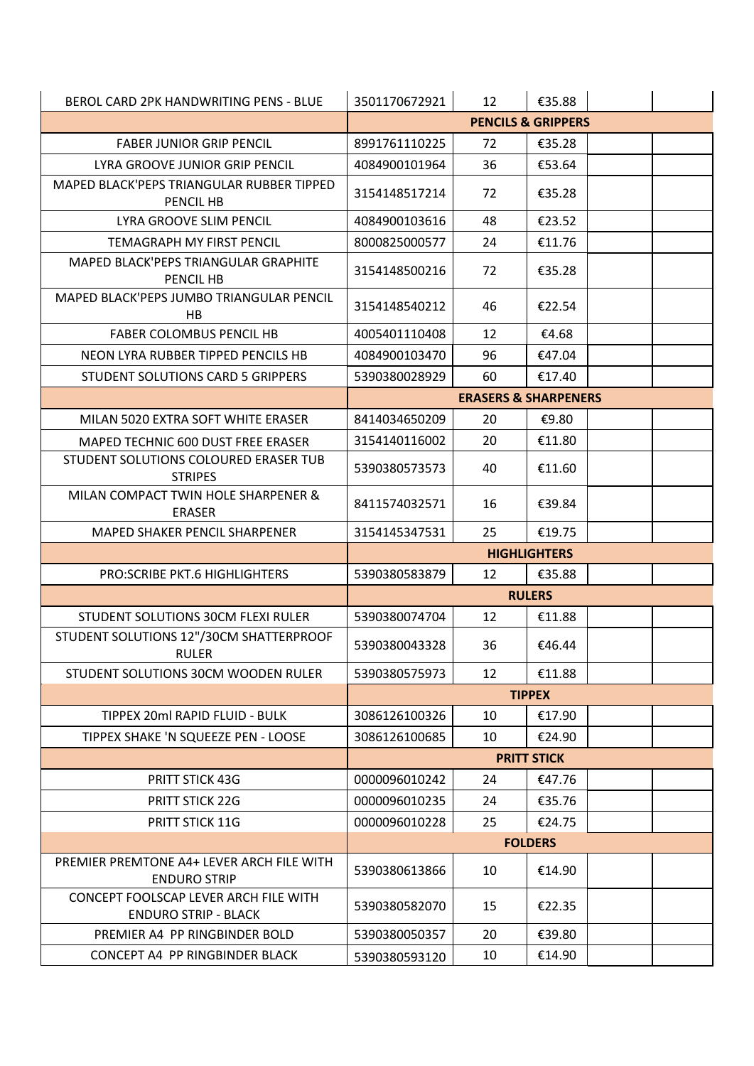| BEROL CARD 2PK HANDWRITING PENS - BLUE                           | 3501170672921                 | 12                              | €35.88             |  |  |
|------------------------------------------------------------------|-------------------------------|---------------------------------|--------------------|--|--|
|                                                                  | <b>PENCILS &amp; GRIPPERS</b> |                                 |                    |  |  |
| <b>FABER JUNIOR GRIP PENCIL</b>                                  | 8991761110225                 | 72                              | €35.28             |  |  |
| LYRA GROOVE JUNIOR GRIP PENCIL                                   | 4084900101964                 | 36                              | €53.64             |  |  |
| MAPED BLACK'PEPS TRIANGULAR RUBBER TIPPED<br>PENCIL HB           | 3154148517214                 | 72                              | €35.28             |  |  |
| LYRA GROOVE SLIM PENCIL                                          | 4084900103616                 | 48                              | €23.52             |  |  |
| <b>TEMAGRAPH MY FIRST PENCIL</b>                                 | 8000825000577                 | 24                              | €11.76             |  |  |
| MAPED BLACK'PEPS TRIANGULAR GRAPHITE<br>PENCIL HB                | 3154148500216                 | 72                              | €35.28             |  |  |
| MAPED BLACK'PEPS JUMBO TRIANGULAR PENCIL<br>HB                   | 3154148540212                 | 46                              | €22.54             |  |  |
| <b>FABER COLOMBUS PENCIL HB</b>                                  | 4005401110408                 | 12                              | €4.68              |  |  |
| NEON LYRA RUBBER TIPPED PENCILS HB                               | 4084900103470                 | 96                              | €47.04             |  |  |
| STUDENT SOLUTIONS CARD 5 GRIPPERS                                | 5390380028929                 | 60                              | €17.40             |  |  |
|                                                                  |                               | <b>ERASERS &amp; SHARPENERS</b> |                    |  |  |
| MILAN 5020 EXTRA SOFT WHITE ERASER                               | 8414034650209                 | 20                              | €9.80              |  |  |
| MAPED TECHNIC 600 DUST FREE ERASER                               | 3154140116002                 | 20                              | €11.80             |  |  |
| STUDENT SOLUTIONS COLOURED ERASER TUB<br><b>STRIPES</b>          | 5390380573573                 | 40                              | €11.60             |  |  |
| MILAN COMPACT TWIN HOLE SHARPENER &<br><b>ERASER</b>             | 8411574032571                 | 16                              | €39.84             |  |  |
| <b>MAPED SHAKER PENCIL SHARPENER</b>                             | 3154145347531                 | 25                              | €19.75             |  |  |
|                                                                  | <b>HIGHLIGHTERS</b>           |                                 |                    |  |  |
| PRO: SCRIBE PKT.6 HIGHLIGHTERS                                   | 5390380583879                 | 12                              | €35.88             |  |  |
|                                                                  |                               |                                 | <b>RULERS</b>      |  |  |
| STUDENT SOLUTIONS 30CM FLEXI RULER                               | 5390380074704                 | 12                              | €11.88             |  |  |
| STUDENT SOLUTIONS 12"/30CM SHATTERPROOF<br><b>RULER</b>          | 5390380043328                 | 36                              | €46.44             |  |  |
| STUDENT SOLUTIONS 30CM WOODEN RULER                              | 5390380575973                 | 12                              | €11.88             |  |  |
|                                                                  | <b>TIPPEX</b>                 |                                 |                    |  |  |
| TIPPEX 20ml RAPID FLUID - BULK                                   | 3086126100326                 | 10                              | €17.90             |  |  |
| TIPPEX SHAKE 'N SQUEEZE PEN - LOOSE                              | 3086126100685                 | 10                              | €24.90             |  |  |
|                                                                  |                               |                                 | <b>PRITT STICK</b> |  |  |
| PRITT STICK 43G                                                  | 0000096010242                 | 24                              | €47.76             |  |  |
| PRITT STICK 22G                                                  | 0000096010235                 | 24                              | €35.76             |  |  |
| PRITT STICK 11G                                                  | 0000096010228                 | 25                              | €24.75             |  |  |
|                                                                  | <b>FOLDERS</b>                |                                 |                    |  |  |
| PREMIER PREMTONE A4+ LEVER ARCH FILE WITH<br><b>ENDURO STRIP</b> | 5390380613866                 | 10                              | €14.90             |  |  |
| CONCEPT FOOLSCAP LEVER ARCH FILE WITH                            |                               |                                 |                    |  |  |
| <b>ENDURO STRIP - BLACK</b>                                      | 5390380582070                 | 15                              | €22.35             |  |  |
| PREMIER A4 PP RINGBINDER BOLD                                    | 5390380050357                 | 20                              | €39.80             |  |  |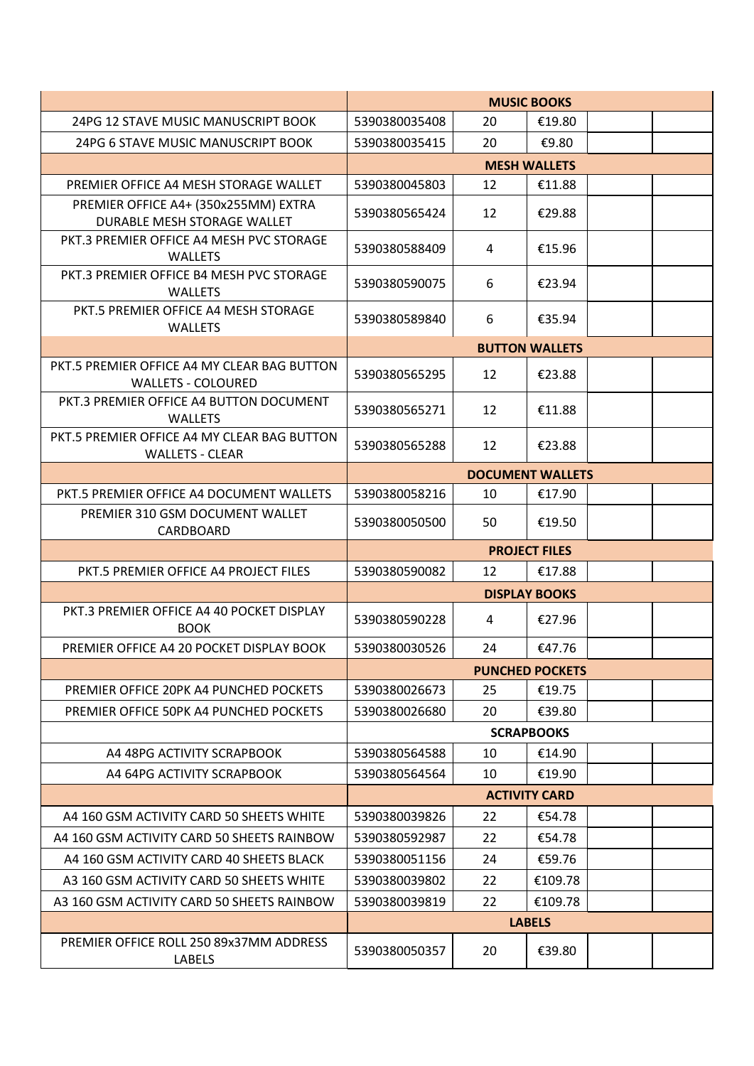|                                                                          | <b>MUSIC BOOKS</b>      |    |                        |  |  |
|--------------------------------------------------------------------------|-------------------------|----|------------------------|--|--|
| 24PG 12 STAVE MUSIC MANUSCRIPT BOOK                                      | 5390380035408           | 20 | €19.80                 |  |  |
| 24PG 6 STAVE MUSIC MANUSCRIPT BOOK                                       | 5390380035415           | 20 | €9.80                  |  |  |
|                                                                          |                         |    | <b>MESH WALLETS</b>    |  |  |
| PREMIER OFFICE A4 MESH STORAGE WALLET                                    | 5390380045803           | 12 | €11.88                 |  |  |
| PREMIER OFFICE A4+ (350x255MM) EXTRA<br>DURABLE MESH STORAGE WALLET      | 5390380565424           | 12 | €29.88                 |  |  |
| PKT.3 PREMIER OFFICE A4 MESH PVC STORAGE<br><b>WALLETS</b>               | 5390380588409           | 4  | €15.96                 |  |  |
| PKT.3 PREMIER OFFICE B4 MESH PVC STORAGE<br><b>WALLETS</b>               | 5390380590075           | 6  | €23.94                 |  |  |
| PKT.5 PREMIER OFFICE A4 MESH STORAGE<br><b>WALLETS</b>                   | 5390380589840           | 6  | €35.94                 |  |  |
|                                                                          |                         |    | <b>BUTTON WALLETS</b>  |  |  |
| PKT.5 PREMIER OFFICE A4 MY CLEAR BAG BUTTON<br><b>WALLETS - COLOURED</b> | 5390380565295           | 12 | €23.88                 |  |  |
| PKT.3 PREMIER OFFICE A4 BUTTON DOCUMENT<br><b>WALLETS</b>                | 5390380565271           | 12 | €11.88                 |  |  |
| PKT.5 PREMIER OFFICE A4 MY CLEAR BAG BUTTON<br><b>WALLETS - CLEAR</b>    | 5390380565288           | 12 | €23.88                 |  |  |
|                                                                          | <b>DOCUMENT WALLETS</b> |    |                        |  |  |
| PKT.5 PREMIER OFFICE A4 DOCUMENT WALLETS                                 | 5390380058216           | 10 | €17.90                 |  |  |
| PREMIER 310 GSM DOCUMENT WALLET<br>CARDBOARD                             | 5390380050500           | 50 | €19.50                 |  |  |
|                                                                          | <b>PROJECT FILES</b>    |    |                        |  |  |
| PKT.5 PREMIER OFFICE A4 PROJECT FILES                                    | 5390380590082           | 12 | €17.88                 |  |  |
|                                                                          |                         |    | <b>DISPLAY BOOKS</b>   |  |  |
| PKT.3 PREMIER OFFICE A4 40 POCKET DISPLAY<br><b>BOOK</b>                 | 5390380590228           | 4  | €27.96                 |  |  |
| PREMIER OFFICE A4 20 POCKET DISPLAY BOOK                                 | 5390380030526           | 24 | €47.76                 |  |  |
|                                                                          |                         |    | <b>PUNCHED POCKETS</b> |  |  |
| PREMIER OFFICE 20PK A4 PUNCHED POCKETS                                   | 5390380026673           | 25 | €19.75                 |  |  |
| PREMIER OFFICE 50PK A4 PUNCHED POCKETS                                   | 5390380026680           | 20 | €39.80                 |  |  |
|                                                                          | <b>SCRAPBOOKS</b>       |    |                        |  |  |
| A4 48PG ACTIVITY SCRAPBOOK                                               | 5390380564588           | 10 | €14.90                 |  |  |
| A4 64PG ACTIVITY SCRAPBOOK                                               | 5390380564564           | 10 | €19.90                 |  |  |
|                                                                          | <b>ACTIVITY CARD</b>    |    |                        |  |  |
| A4 160 GSM ACTIVITY CARD 50 SHEETS WHITE                                 | 5390380039826           | 22 | €54.78                 |  |  |
| A4 160 GSM ACTIVITY CARD 50 SHEETS RAINBOW                               | 5390380592987           | 22 | €54.78                 |  |  |
| A4 160 GSM ACTIVITY CARD 40 SHEETS BLACK                                 | 5390380051156           | 24 | €59.76                 |  |  |
| A3 160 GSM ACTIVITY CARD 50 SHEETS WHITE                                 | 5390380039802           | 22 | €109.78                |  |  |
| A3 160 GSM ACTIVITY CARD 50 SHEETS RAINBOW                               | 5390380039819           | 22 | €109.78                |  |  |
|                                                                          |                         |    | <b>LABELS</b>          |  |  |
| PREMIER OFFICE ROLL 250 89x37MM ADDRESS                                  |                         | 20 | €39.80                 |  |  |